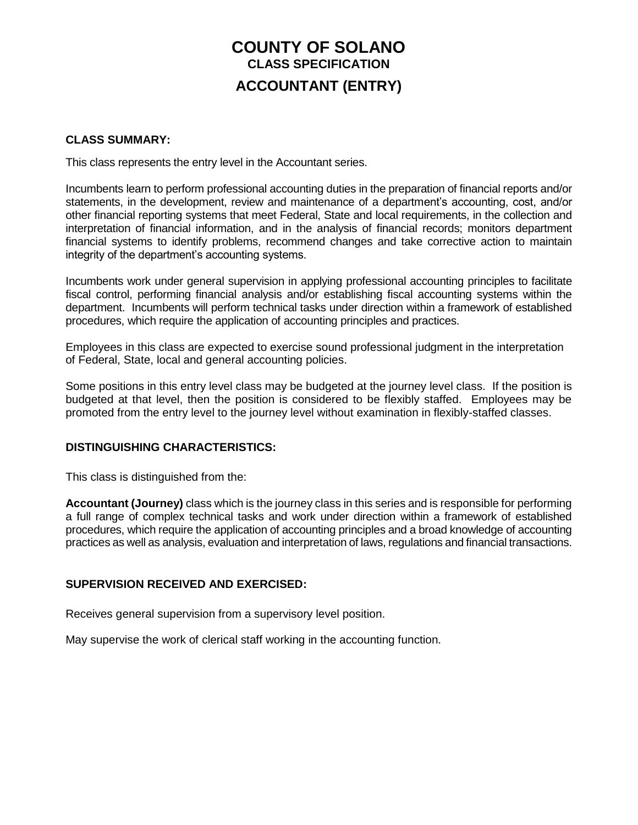# **COUNTY OF SOLANO CLASS SPECIFICATION ACCOUNTANT (ENTRY)**

#### **CLASS SUMMARY:**

This class represents the entry level in the Accountant series.

Incumbents learn to perform professional accounting duties in the preparation of financial reports and/or statements, in the development, review and maintenance of a department's accounting, cost, and/or other financial reporting systems that meet Federal, State and local requirements, in the collection and interpretation of financial information, and in the analysis of financial records; monitors department financial systems to identify problems, recommend changes and take corrective action to maintain integrity of the department's accounting systems.

Incumbents work under general supervision in applying professional accounting principles to facilitate fiscal control, performing financial analysis and/or establishing fiscal accounting systems within the department. Incumbents will perform technical tasks under direction within a framework of established procedures, which require the application of accounting principles and practices.

Employees in this class are expected to exercise sound professional judgment in the interpretation of Federal, State, local and general accounting policies.

Some positions in this entry level class may be budgeted at the journey level class. If the position is budgeted at that level, then the position is considered to be flexibly staffed. Employees may be promoted from the entry level to the journey level without examination in flexibly-staffed classes.

## **DISTINGUISHING CHARACTERISTICS:**

This class is distinguished from the:

**Accountant (Journey)** class which is the journey class in this series and is responsible for performing a full range of complex technical tasks and work under direction within a framework of established procedures, which require the application of accounting principles and a broad knowledge of accounting practices as well as analysis, evaluation and interpretation of laws, regulations and financial transactions.

## **SUPERVISION RECEIVED AND EXERCISED:**

Receives general supervision from a supervisory level position.

May supervise the work of clerical staff working in the accounting function.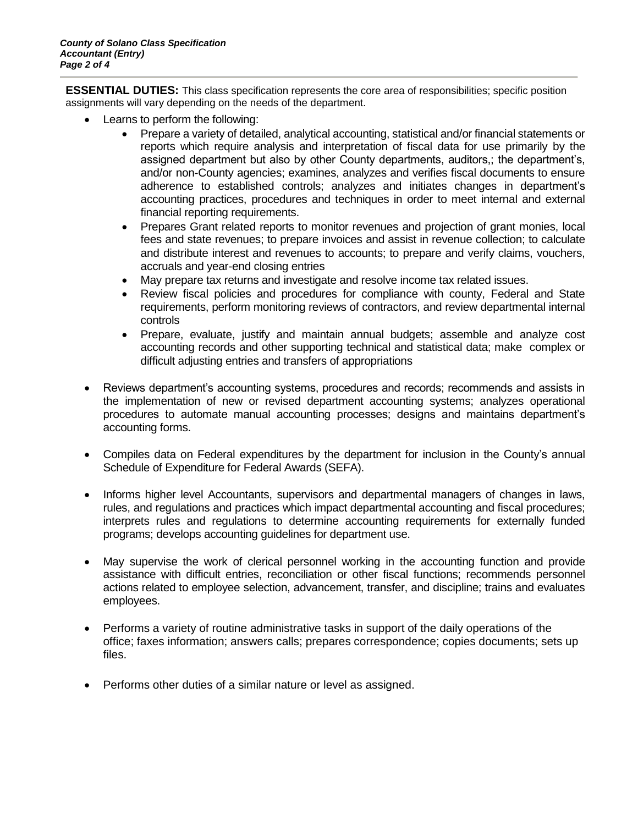**ESSENTIAL DUTIES:** This class specification represents the core area of responsibilities; specific position assignments will vary depending on the needs of the department.

- Learns to perform the following:
	- Prepare a variety of detailed, analytical accounting, statistical and/or financial statements or reports which require analysis and interpretation of fiscal data for use primarily by the assigned department but also by other County departments, auditors,; the department's, and/or non-County agencies; examines, analyzes and verifies fiscal documents to ensure adherence to established controls; analyzes and initiates changes in department's accounting practices, procedures and techniques in order to meet internal and external financial reporting requirements.
	- Prepares Grant related reports to monitor revenues and projection of grant monies, local fees and state revenues; to prepare invoices and assist in revenue collection; to calculate and distribute interest and revenues to accounts; to prepare and verify claims, vouchers, accruals and year-end closing entries
	- May prepare tax returns and investigate and resolve income tax related issues.
	- Review fiscal policies and procedures for compliance with county, Federal and State requirements, perform monitoring reviews of contractors, and review departmental internal controls
	- Prepare, evaluate, justify and maintain annual budgets; assemble and analyze cost accounting records and other supporting technical and statistical data; make complex or difficult adjusting entries and transfers of appropriations
- Reviews department's accounting systems, procedures and records; recommends and assists in the implementation of new or revised department accounting systems; analyzes operational procedures to automate manual accounting processes; designs and maintains department's accounting forms.
- Compiles data on Federal expenditures by the department for inclusion in the County's annual Schedule of Expenditure for Federal Awards (SEFA).
- Informs higher level Accountants, supervisors and departmental managers of changes in laws, rules, and regulations and practices which impact departmental accounting and fiscal procedures; interprets rules and regulations to determine accounting requirements for externally funded programs; develops accounting guidelines for department use.
- May supervise the work of clerical personnel working in the accounting function and provide assistance with difficult entries, reconciliation or other fiscal functions; recommends personnel actions related to employee selection, advancement, transfer, and discipline; trains and evaluates employees.
- Performs a variety of routine administrative tasks in support of the daily operations of the office; faxes information; answers calls; prepares correspondence; copies documents; sets up files.
- Performs other duties of a similar nature or level as assigned.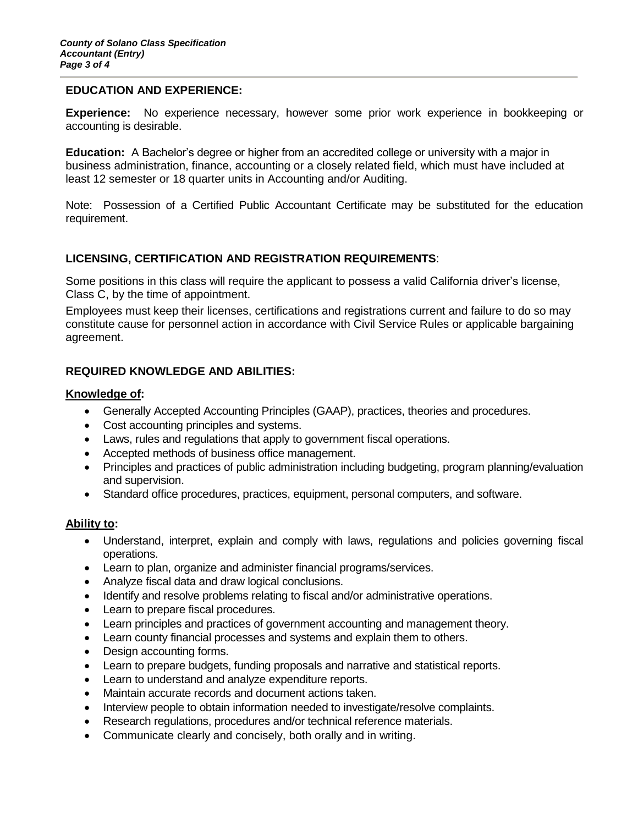#### **EDUCATION AND EXPERIENCE:**

**Experience:** No experience necessary, however some prior work experience in bookkeeping or accounting is desirable.

**Education:** A Bachelor's degree or higher from an accredited college or university with a major in business administration, finance, accounting or a closely related field, which must have included at least 12 semester or 18 quarter units in Accounting and/or Auditing.

Note: Possession of a Certified Public Accountant Certificate may be substituted for the education requirement.

## **LICENSING, CERTIFICATION AND REGISTRATION REQUIREMENTS**:

Some positions in this class will require the applicant to possess a valid California driver's license, Class C, by the time of appointment.

Employees must keep their licenses, certifications and registrations current and failure to do so may constitute cause for personnel action in accordance with Civil Service Rules or applicable bargaining agreement.

## **REQUIRED KNOWLEDGE AND ABILITIES:**

#### **Knowledge of:**

- Generally Accepted Accounting Principles (GAAP), practices, theories and procedures.
- Cost accounting principles and systems.
- Laws, rules and regulations that apply to government fiscal operations.
- Accepted methods of business office management.
- Principles and practices of public administration including budgeting, program planning/evaluation and supervision.
- Standard office procedures, practices, equipment, personal computers, and software.

#### **Ability to:**

- Understand, interpret, explain and comply with laws, regulations and policies governing fiscal operations.
- Learn to plan, organize and administer financial programs/services.
- Analyze fiscal data and draw logical conclusions.
- Identify and resolve problems relating to fiscal and/or administrative operations.
- Learn to prepare fiscal procedures.
- Learn principles and practices of government accounting and management theory.
- Learn county financial processes and systems and explain them to others.
- Design accounting forms.
- Learn to prepare budgets, funding proposals and narrative and statistical reports.
- Learn to understand and analyze expenditure reports.
- Maintain accurate records and document actions taken.
- Interview people to obtain information needed to investigate/resolve complaints.
- Research regulations, procedures and/or technical reference materials.
- Communicate clearly and concisely, both orally and in writing.